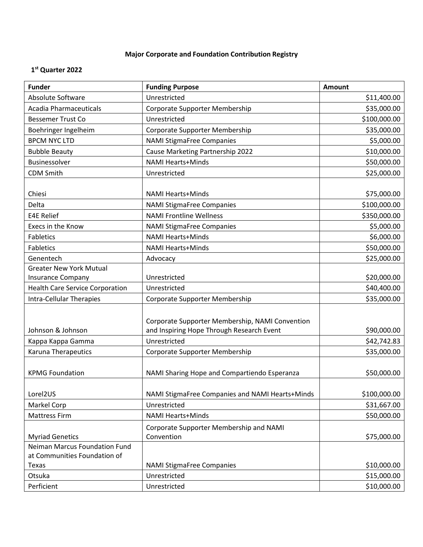## **Major Corporate and Foundation Contribution Registry**

## **1 st Quarter 2022**

| <b>Funder</b>                                                 | <b>Funding Purpose</b>                                                                       | <b>Amount</b> |
|---------------------------------------------------------------|----------------------------------------------------------------------------------------------|---------------|
| Absolute Software                                             | Unrestricted                                                                                 | \$11,400.00   |
| <b>Acadia Pharmaceuticals</b>                                 | Corporate Supporter Membership                                                               | \$35,000.00   |
| <b>Bessemer Trust Co</b>                                      | Unrestricted                                                                                 | \$100,000.00  |
| Boehringer Ingelheim                                          | Corporate Supporter Membership                                                               | \$35,000.00   |
| <b>BPCM NYC LTD</b>                                           | <b>NAMI StigmaFree Companies</b>                                                             | \$5,000.00    |
| <b>Bubble Beauty</b>                                          | Cause Marketing Partnership 2022                                                             | \$10,000.00   |
| Businessolver                                                 | <b>NAMI Hearts+Minds</b>                                                                     | \$50,000.00   |
| <b>CDM Smith</b>                                              | Unrestricted                                                                                 | \$25,000.00   |
|                                                               |                                                                                              |               |
| Chiesi                                                        | <b>NAMI Hearts+Minds</b>                                                                     | \$75,000.00   |
| Delta                                                         | <b>NAMI StigmaFree Companies</b>                                                             | \$100,000.00  |
| <b>E4E Relief</b>                                             | <b>NAMI Frontline Wellness</b>                                                               | \$350,000.00  |
| Execs in the Know                                             | <b>NAMI StigmaFree Companies</b>                                                             | \$5,000.00    |
| Fabletics                                                     | <b>NAMI Hearts+Minds</b>                                                                     | \$6,000.00    |
| <b>Fabletics</b>                                              | <b>NAMI Hearts+Minds</b>                                                                     | \$50,000.00   |
| Genentech                                                     | Advocacy                                                                                     | \$25,000.00   |
| <b>Greater New York Mutual</b>                                |                                                                                              |               |
| <b>Insurance Company</b>                                      | Unrestricted                                                                                 | \$20,000.00   |
| <b>Health Care Service Corporation</b>                        | Unrestricted                                                                                 | \$40,400.00   |
| <b>Intra-Cellular Therapies</b>                               | Corporate Supporter Membership                                                               | \$35,000.00   |
| Johnson & Johnson                                             | Corporate Supporter Membership, NAMI Convention<br>and Inspiring Hope Through Research Event | \$90,000.00   |
| Kappa Kappa Gamma                                             | Unrestricted                                                                                 | \$42,742.83   |
| Karuna Therapeutics                                           | Corporate Supporter Membership                                                               | \$35,000.00   |
| <b>KPMG Foundation</b>                                        | NAMI Sharing Hope and Compartiendo Esperanza                                                 | \$50,000.00   |
| Lorel2US                                                      | NAMI StigmaFree Companies and NAMI Hearts+Minds                                              | \$100,000.00  |
| Markel Corp                                                   | Unrestricted                                                                                 | \$31,667.00   |
| <b>Mattress Firm</b>                                          | <b>NAMI Hearts+Minds</b>                                                                     | \$50,000.00   |
| <b>Myriad Genetics</b>                                        | Corporate Supporter Membership and NAMI<br>Convention                                        | \$75,000.00   |
| Neiman Marcus Foundation Fund<br>at Communities Foundation of |                                                                                              |               |
| Texas                                                         | <b>NAMI StigmaFree Companies</b>                                                             | \$10,000.00   |
| Otsuka                                                        | Unrestricted                                                                                 | \$15,000.00   |
| Perficient                                                    | Unrestricted                                                                                 | \$10,000.00   |